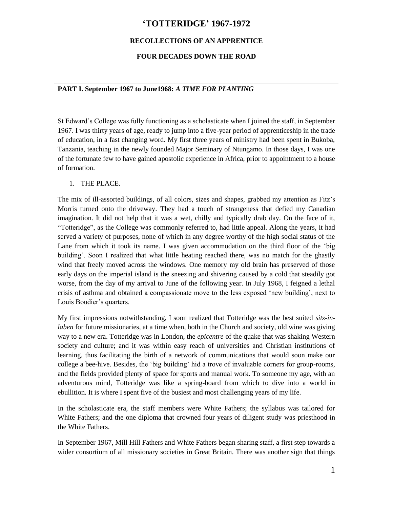# **'TOTTERIDGE' 1967-1972**

### **RECOLLECTIONS OF AN APPRENTICE**

### **FOUR DECADES DOWN THE ROAD**

#### **PART I. September 1967 to June1968:** *A TIME FOR PLANTING*

St Edward's College was fully functioning as a scholasticate when I joined the staff, in September 1967. I was thirty years of age, ready to jump into a five-year period of apprenticeship in the trade of education, in a fast changing word. My first three years of ministry had been spent in Bukoba, Tanzania, teaching in the newly founded Major Seminary of Ntungamo. In those days, I was one of the fortunate few to have gained apostolic experience in Africa, prior to appointment to a house of formation.

#### 1. THE PLACE.

The mix of ill-assorted buildings, of all colors, sizes and shapes, grabbed my attention as Fitz's Morris turned onto the driveway. They had a touch of strangeness that defied my Canadian imagination. It did not help that it was a wet, chilly and typically drab day. On the face of it, "Totteridge", as the College was commonly referred to, had little appeal. Along the years, it had served a variety of purposes, none of which in any degree worthy of the high social status of the Lane from which it took its name. I was given accommodation on the third floor of the 'big building'. Soon I realized that what little heating reached there, was no match for the ghastly wind that freely moved across the windows. One memory my old brain has preserved of those early days on the imperial island is the sneezing and shivering caused by a cold that steadily got worse, from the day of my arrival to June of the following year. In July 1968, I feigned a lethal crisis of asthma and obtained a compassionate move to the less exposed 'new building', next to Louis Boudier's quarters.

My first impressions notwithstanding, I soon realized that Totteridge was the best suited *sitz-inlaben* for future missionaries, at a time when, both in the Church and society, old wine was giving way to a new era. Totteridge was in London, the *epicentre* of the quake that was shaking Western society and culture; and it was within easy reach of universities and Christian institutions of learning, thus facilitating the birth of a network of communications that would soon make our college a bee-hive. Besides, the 'big building' hid a trove of invaluable corners for group-rooms, and the fields provided plenty of space for sports and manual work. To someone my age, with an adventurous mind, Totteridge was like a spring-board from which to dive into a world in ebullition. It is where I spent five of the busiest and most challenging years of my life.

In the scholasticate era, the staff members were White Fathers; the syllabus was tailored for White Fathers; and the one diploma that crowned four years of diligent study was priesthood in the White Fathers.

In September 1967, Mill Hill Fathers and White Fathers began sharing staff, a first step towards a wider consortium of all missionary societies in Great Britain. There was another sign that things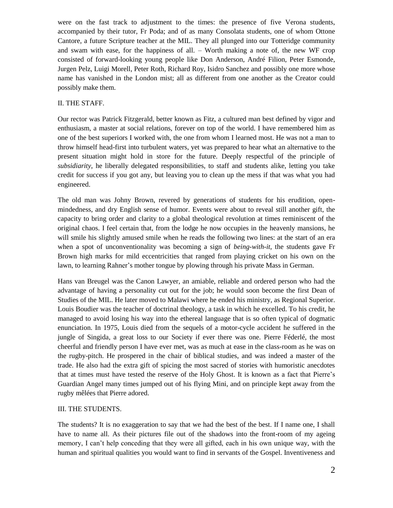were on the fast track to adjustment to the times: the presence of five Verona students, accompanied by their tutor, Fr Poda; and of as many Consolata students, one of whom Ottone Cantore, a future Scripture teacher at the MIL. They all plunged into our Totteridge community and swam with ease, for the happiness of all. – Worth making a note of, the new WF crop consisted of forward-looking young people like Don Anderson, André Filion, Peter Esmonde, Jurgen Pelz, Luigi Morell, Peter Roth, Richard Roy, Isidro Sanchez and possibly one more whose name has vanished in the London mist; all as different from one another as the Creator could possibly make them.

#### II. THE STAFF.

Our rector was Patrick Fitzgerald, better known as Fitz, a cultured man best defined by vigor and enthusiasm, a master at social relations, forever on top of the world. I have remembered him as one of the best superiors I worked with, the one from whom I learned most. He was not a man to throw himself head-first into turbulent waters, yet was prepared to hear what an alternative to the present situation might hold in store for the future. Deeply respectful of the principle of *subsidiarity*, he liberally delegated responsibilities, to staff and students alike, letting you take credit for success if you got any, but leaving you to clean up the mess if that was what you had engineered.

The old man was Johny Brown, revered by generations of students for his erudition, openmindedness, and dry English sense of humor. Events were about to reveal still another gift, the capacity to bring order and clarity to a global theological revolution at times reminiscent of the original chaos. I feel certain that, from the lodge he now occupies in the heavenly mansions, he will smile his slightly amused smile when he reads the following two lines: at the start of an era when a spot of unconventionality was becoming a sign of *being-with-it*, the students gave Fr Brown high marks for mild eccentricities that ranged from playing cricket on his own on the lawn, to learning Rahner's mother tongue by plowing through his private Mass in German.

Hans van Breugel was the Canon Lawyer, an amiable, reliable and ordered person who had the advantage of having a personality cut out for the job; he would soon become the first Dean of Studies of the MIL. He later moved to Malawi where he ended his ministry, as Regional Superior. Louis Boudier was the teacher of doctrinal theology, a task in which he excelled. To his credit, he managed to avoid losing his way into the ethereal language that is so often typical of dogmatic enunciation. In 1975, Louis died from the sequels of a motor-cycle accident he suffered in the jungle of Singida, a great loss to our Society if ever there was one. Pierre Féderlé, the most cheerful and friendly person I have ever met, was as much at ease in the class-room as he was on the rugby-pitch. He prospered in the chair of biblical studies, and was indeed a master of the trade. He also had the extra gift of spicing the most sacred of stories with humoristic anecdotes that at times must have tested the reserve of the Holy Ghost. It is known as a fact that Pierre's Guardian Angel many times jumped out of his flying Mini, and on principle kept away from the rugby mêlées that Pierre adored.

### III. THE STUDENTS.

The students? It is no exaggeration to say that we had the best of the best. If I name one, I shall have to name all. As their pictures file out of the shadows into the front-room of my ageing memory, I can't help conceding that they were all gifted, each in his own unique way, with the human and spiritual qualities you would want to find in servants of the Gospel. Inventiveness and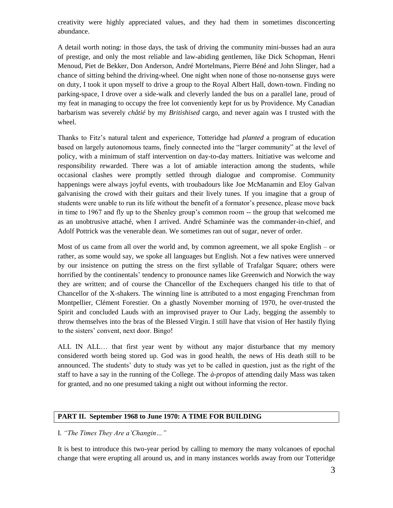creativity were highly appreciated values, and they had them in sometimes disconcerting abundance.

A detail worth noting: in those days, the task of driving the community mini-busses had an aura of prestige, and only the most reliable and law-abiding gentlemen, like Dick Schopman, Henri Menoud, Piet de Bekker, Don Anderson, André Mortelmans, Pierre Béné and John Slinger, had a chance of sitting behind the driving-wheel. One night when none of those no-nonsense guys were on duty, I took it upon myself to drive a group to the Royal Albert Hall, down-town. Finding no parking-space, I drove over a side-walk and cleverly landed the bus on a parallel lane, proud of my feat in managing to occupy the free lot conveniently kept for us by Providence. My Canadian barbarism was severely *châtié* by my *Britishised* cargo, and never again was I trusted with the wheel.

Thanks to Fitz's natural talent and experience, Totteridge had *planted* a program of education based on largely autonomous teams, finely connected into the "larger community" at the level of policy, with a minimum of staff intervention on day-to-day matters. Initiative was welcome and responsibility rewarded. There was a lot of amiable interaction among the students, while occasional clashes were promptly settled through dialogue and compromise. Community happenings were always joyful events, with troubadours like Joe McManamin and Eloy Galvan galvanising the crowd with their guitars and their lively tunes. If you imagine that a group of students were unable to run its life without the benefit of a formator's presence, please move back in time to 1967 and fly up to the Shenley group's common room -- the group that welcomed me as an unobtrusive attaché, when I arrived. André Schaminée was the commander-in-chief, and Adolf Pottrick was the venerable dean. We sometimes ran out of sugar, never of order.

Most of us came from all over the world and, by common agreement, we all spoke English – or rather, as some would say, we spoke all languages but English. Not a few natives were unnerved by our insistence on putting the stress on the first syllable of Trafalgar Square; others were horrified by the continentals' tendency to pronounce names like Greenwich and Norwich the way they are written; and of course the Chancellor of the Exchequers changed his title to that of Chancellor of the X-shakers. The winning line is attributed to a most engaging Frenchman from Montpellier, Clément Forestier. On a ghastly November morning of 1970, he over-trusted the Spirit and concluded Lauds with an improvised prayer to Our Lady, begging the assembly to throw themselves into the bras of the Blessed Virgin. I still have that vision of Her hastily flying to the sisters' convent, next door. Bingo!

ALL IN ALL… that first year went by without any major disturbance that my memory considered worth being stored up. God was in good health, the news of His death still to be announced. The students' duty to study was yet to be called in question, just as the right of the staff to have a say in the running of the College. The *à-propos* of attending daily Mass was taken for granted, and no one presumed taking a night out without informing the rector.

#### **PART II. September 1968 to June 1970: A TIME FOR BUILDING**

I. *"The Times They Are a'Changin…"*

It is best to introduce this two-year period by calling to memory the many volcanoes of epochal change that were erupting all around us, and in many instances worlds away from our Totteridge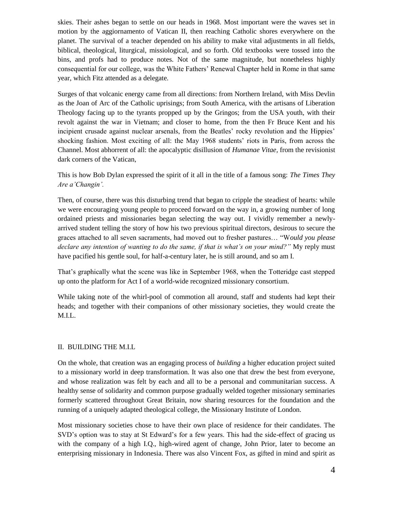skies. Their ashes began to settle on our heads in 1968. Most important were the waves set in motion by the aggiornamento of Vatican II, then reaching Catholic shores everywhere on the planet. The survival of a teacher depended on his ability to make vital adjustments in all fields, biblical, theological, liturgical, missiological, and so forth. Old textbooks were tossed into the bins, and profs had to produce notes. Not of the same magnitude, but nonetheless highly consequential for our college, was the White Fathers' Renewal Chapter held in Rome in that same year, which Fitz attended as a delegate.

Surges of that volcanic energy came from all directions: from Northern Ireland, with Miss Devlin as the Joan of Arc of the Catholic uprisings; from South America, with the artisans of Liberation Theology facing up to the tyrants propped up by the Gringos; from the USA youth, with their revolt against the war in Vietnam; and closer to home, from the then Fr Bruce Kent and his incipient crusade against nuclear arsenals, from the Beatles' rocky revolution and the Hippies' shocking fashion. Most exciting of all: the May 1968 students' riots in Paris, from across the Channel. Most abhorrent of all: the apocalyptic disillusion of *Humanae Vitae,* from the revisionist dark corners of the Vatican,

This is how Bob Dylan expressed the spirit of it all in the title of a famous song: *The Times They Are a'Changin'.*

Then, of course, there was this disturbing trend that began to cripple the steadiest of hearts: while we were encouraging young people to proceed forward on the way in, a growing number of long ordained priests and missionaries began selecting the way out. I vividly remember a newlyarrived student telling the story of how his two previous spiritual directors, desirous to secure the graces attached to all seven sacraments, had moved out to fresher pastures… "W*ould you please declare any intention of wanting to do the same, if that is what's on your mind?"* My reply must have pacified his gentle soul, for half-a-century later, he is still around, and so am I.

That's graphically what the scene was like in September 1968, when the Totteridge cast stepped up onto the platform for Act I of a world-wide recognized missionary consortium.

While taking note of the whirl-pool of commotion all around, staff and students had kept their heads; and together with their companions of other missionary societies, they would create the M.I.L.

#### II. BUILDING THE M.I.L

On the whole, that creation was an engaging process of *building* a higher education project suited to a missionary world in deep transformation. It was also one that drew the best from everyone, and whose realization was felt by each and all to be a personal and communitarian success. A healthy sense of solidarity and common purpose gradually welded together missionary seminaries formerly scattered throughout Great Britain, now sharing resources for the foundation and the running of a uniquely adapted theological college, the Missionary Institute of London.

Most missionary societies chose to have their own place of residence for their candidates. The SVD's option was to stay at St Edward's for a few years. This had the side-effect of gracing us with the company of a high I.Q., high-wired agent of change, John Prior, later to become an enterprising missionary in Indonesia. There was also Vincent Fox, as gifted in mind and spirit as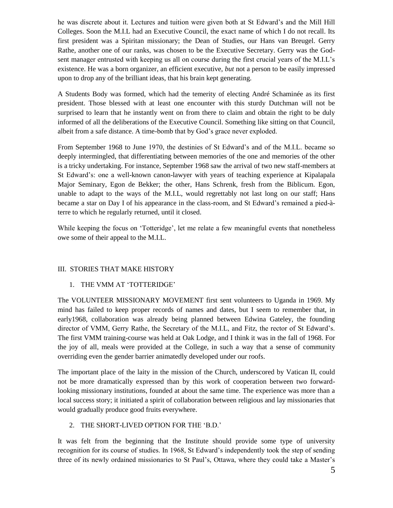he was discrete about it. Lectures and tuition were given both at St Edward's and the Mill Hill Colleges. Soon the M.I.L had an Executive Council, the exact name of which I do not recall. Its first president was a Spiritan missionary; the Dean of Studies, our Hans van Breugel. Gerry Rathe, another one of our ranks, was chosen to be the Executive Secretary. Gerry was the Godsent manager entrusted with keeping us all on course during the first crucial years of the M.I.L's existence. He was a born organizer, an efficient executive, *but* not a person to be easily impressed upon to drop any of the brilliant ideas, that his brain kept generating.

A Students Body was formed, which had the temerity of electing André Schaminée as its first president. Those blessed with at least one encounter with this sturdy Dutchman will not be surprised to learn that he instantly went on from there to claim and obtain the right to be duly informed of all the deliberations of the Executive Council. Something like sitting on that Council, albeit from a safe distance. A time-bomb that by God's grace never exploded.

From September 1968 to June 1970, the destinies of St Edward's and of the M.I.L. became so deeply intermingled, that differentiating between memories of the one and memories of the other is a tricky undertaking. For instance, September 1968 saw the arrival of two new staff-members at St Edward's: one a well-known canon-lawyer with years of teaching experience at Kipalapala Major Seminary, Egon de Bekker; the other, Hans Schrenk, fresh from the Biblicum. Egon, unable to adapt to the ways of the M.I.L, would regrettably not last long on our staff; Hans became a star on Day I of his appearance in the class-room, and St Edward's remained a pied-àterre to which he regularly returned, until it closed.

While keeping the focus on 'Totteridge', let me relate a few meaningful events that nonetheless owe some of their appeal to the M.I.L.

### III. STORIES THAT MAKE HISTORY

### 1. THE VMM AT 'TOTTERIDGE'

The VOLUNTEER MISSIONARY MOVEMENT first sent volunteers to Uganda in 1969. My mind has failed to keep proper records of names and dates, but I seem to remember that, in early1968, collaboration was already being planned between Edwina Gateley, the founding director of VMM, Gerry Rathe, the Secretary of the M.I.L, and Fitz, the rector of St Edward's. The first VMM training-course was held at Oak Lodge, and I think it was in the fall of 1968. For the joy of all, meals were provided at the College, in such a way that a sense of community overriding even the gender barrier animatedly developed under our roofs.

The important place of the laity in the mission of the Church, underscored by Vatican II, could not be more dramatically expressed than by this work of cooperation between two forwardlooking missionary institutions, founded at about the same time. The experience was more than a local success story; it initiated a spirit of collaboration between religious and lay missionaries that would gradually produce good fruits everywhere.

#### 2. THE SHORT-LIVED OPTION FOR THE 'B.D.'

It was felt from the beginning that the Institute should provide some type of university recognition for its course of studies. In 1968, St Edward's independently took the step of sending three of its newly ordained missionaries to St Paul's, Ottawa, where they could take a Master's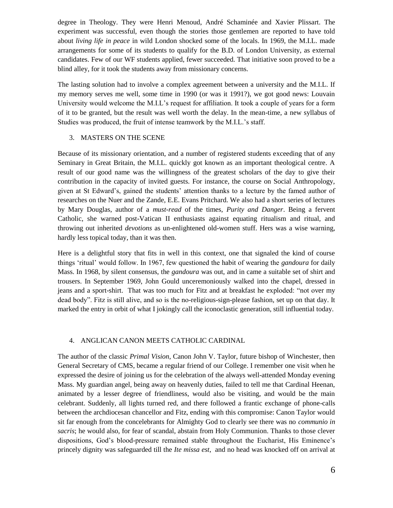degree in Theology. They were Henri Menoud, André Schaminée and Xavier Plissart. The experiment was successful, even though the stories those gentlemen are reported to have told about *living life in peace* in wild London shocked some of the locals. In 1969, the M.I.L. made arrangements for some of its students to qualify for the B.D. of London University, as external candidates. Few of our WF students applied, fewer succeeded. That initiative soon proved to be a blind alley, for it took the students away from missionary concerns.

The lasting solution had to involve a complex agreement between a university and the M.I.L. If my memory serves me well, some time in 1990 (or was it 1991?), we got good news: Louvain University would welcome the M.I.L's request for affiliation. It took a couple of years for a form of it to be granted, but the result was well worth the delay. In the mean-time, a new syllabus of Studies was produced, the fruit of intense teamwork by the M.I.L.'s staff.

### 3. MASTERS ON THE SCENE

Because of its missionary orientation, and a number of registered students exceeding that of any Seminary in Great Britain, the M.I.L. quickly got known as an important theological centre. A result of our good name was the willingness of the greatest scholars of the day to give their contribution in the capacity of invited guests. For instance, the course on Social Anthropology, given at St Edward's, gained the students' attention thanks to a lecture by the famed author of researches on the Nuer and the Zande, E.E. Evans Pritchard. We also had a short series of lectures by Mary Douglas, author of a *must-read* of the times, *Purity and Danger*. Being a fervent Catholic, she warned post-Vatican II enthusiasts against equating ritualism and ritual, and throwing out inherited *devotions* as un-enlightened old-women stuff. Hers was a wise warning, hardly less topical today, than it was then.

Here is a delightful story that fits in well in this context, one that signaled the kind of course things 'ritual' would follow. In 1967, few questioned the habit of wearing the *gandoura* for daily Mass. In 1968, by silent consensus, the *gandoura* was out, and in came a suitable set of shirt and trousers. In September 1969, John Gould unceremoniously walked into the chapel, dressed in jeans and a sport-shirt. That was too much for Fitz and at breakfast he exploded: "not over my dead body". Fitz is still alive, and so is the no-religious-sign-please fashion, set up on that day. It marked the entry in orbit of what I jokingly call the iconoclastic generation, still influential today.

### 4. ANGLICAN CANON MEETS CATHOLIC CARDINAL

The author of the classic *Primal Vision*, Canon John V. Taylor, future bishop of Winchester, then General Secretary of CMS, became a regular friend of our College. I remember one visit when he expressed the desire of joining us for the celebration of the always well-attended Monday evening Mass. My guardian angel, being away on heavenly duties, failed to tell me that Cardinal Heenan, animated by a lesser degree of friendliness, would also be visiting, and would be the main celebrant. Suddenly, all lights turned red, and there followed a frantic exchange of phone-calls between the archdiocesan chancellor and Fitz, ending with this compromise: Canon Taylor would sit far enough from the concelebrants for Almighty God to clearly see there was no *communio in sacris*; he would also, for fear of scandal, abstain from Holy Communion. Thanks to those clever dispositions, God's blood-pressure remained stable throughout the Eucharist, His Eminence's princely dignity was safeguarded till the *Ite missa est*, and no head was knocked off on arrival at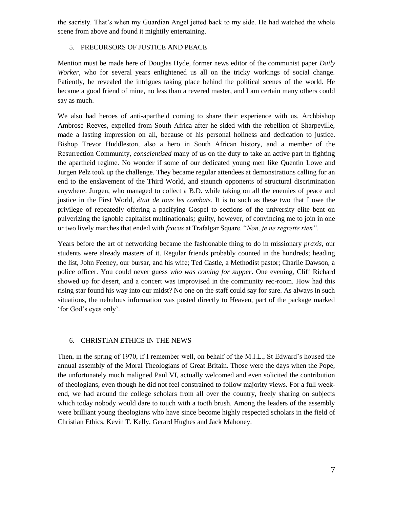the sacristy. That's when my Guardian Angel jetted back to my side. He had watched the whole scene from above and found it mightily entertaining.

### 5. PRECURSORS OF JUSTICE AND PEACE

Mention must be made here of Douglas Hyde, former news editor of the communist paper *Daily Worker*, who for several years enlightened us all on the tricky workings of social change. Patiently, he revealed the intrigues taking place behind the political scenes of the world. He became a good friend of mine, no less than a revered master, and I am certain many others could say as much.

We also had heroes of anti-apartheid coming to share their experience with us. Archbishop Ambrose Reeves, expelled from South Africa after he sided with the rebellion of Sharpeville, made a lasting impression on all, because of his personal holiness and dedication to justice. Bishop Trevor Huddleston, also a hero in South African history, and a member of the Resurrection Community, *conscientised* many of us on the duty to take an active part in fighting the apartheid regime. No wonder if some of our dedicated young men like Quentin Lowe and Jurgen Pelz took up the challenge. They became regular attendees at demonstrations calling for an end to the enslavement of the Third World, and staunch opponents of structural discrimination anywhere. Jurgen, who managed to collect a B.D. while taking on all the enemies of peace and justice in the First World, *était de tous les combats.* It is to such as these two that I owe the privilege of repeatedly offering a pacifying Gospel to sections of the university elite bent on pulverizing the ignoble capitalist multinationals*;* guilty, however, of convincing me to join in one or two lively marches that ended with *fracas* at Trafalgar Square. "*Non, je ne regrette rien".*

Years before the art of networking became the fashionable thing to do in missionary *praxis*, our students were already masters of it. Regular friends probably counted in the hundreds; heading the list, John Feeney, our bursar, and his wife; Ted Castle, a Methodist pastor; Charlie Dawson, a police officer. You could never guess *who was coming for supper*. One evening, Cliff Richard showed up for desert, and a concert was improvised in the community rec-room. How had this rising star found his way into our midst? No one on the staff could say for sure. As always in such situations, the nebulous information was posted directly to Heaven, part of the package marked 'for God's eyes only'.

### 6. CHRISTIAN ETHICS IN THE NEWS

Then, in the spring of 1970, if I remember well, on behalf of the M.I.L., St Edward's housed the annual assembly of the Moral Theologians of Great Britain. Those were the days when the Pope, the unfortunately much maligned Paul VI, actually welcomed and even solicited the contribution of theologians, even though he did not feel constrained to follow majority views. For a full weekend, we had around the college scholars from all over the country, freely sharing on subjects which today nobody would dare to touch with a tooth brush. Among the leaders of the assembly were brilliant young theologians who have since become highly respected scholars in the field of Christian Ethics, Kevin T. Kelly, Gerard Hughes and Jack Mahoney.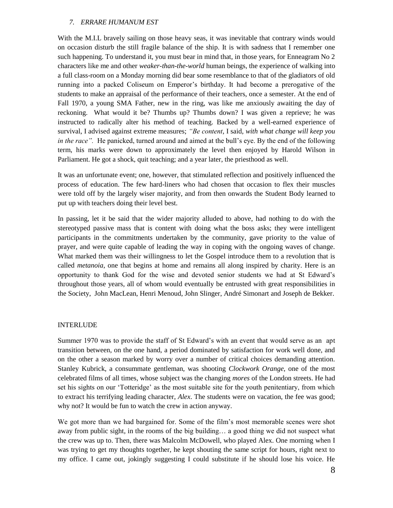#### *7. ERRARE HUMANUM EST*

With the M.I.L bravely sailing on those heavy seas, it was inevitable that contrary winds would on occasion disturb the still fragile balance of the ship. It is with sadness that I remember one such happening. To understand it, you must bear in mind that, in those years, for Enneagram No 2 characters like me and other *weaker-than-the-world* human beings, the experience of walking into a full class-room on a Monday morning did bear some resemblance to that of the gladiators of old running into a packed Coliseum on Emperor's birthday. It had become a prerogative of the students to make an appraisal of the performance of their teachers, once a semester. At the end of Fall 1970, a young SMA Father, new in the ring, was like me anxiously awaiting the day of reckoning. What would it be? Thumbs up? Thumbs down? I was given a reprieve; he was instructed to radically alter his method of teaching. Backed by a well-earned experience of survival, I advised against extreme measures; *"Be content*, I said*, with what change will keep you in the race".* He panicked, turned around and aimed at the bull's eye. By the end of the following term, his marks were down to approximately the level then enjoyed by Harold Wilson in Parliament. He got a shock, quit teaching; and a year later, the priesthood as well.

It was an unfortunate event; one, however, that stimulated reflection and positively influenced the process of education. The few hard-liners who had chosen that occasion to flex their muscles were told off by the largely wiser majority, and from then onwards the Student Body learned to put up with teachers doing their level best.

In passing, let it be said that the wider majority alluded to above, had nothing to do with the stereotyped passive mass that is content with doing what the boss asks; they were intelligent participants in the commitments undertaken by the community, gave priority to the value of prayer, and were quite capable of leading the way in coping with the ongoing waves of change. What marked them was their willingness to let the Gospel introduce them to a revolution that is called *metanoia*, one that begins at home and remains all along inspired by charity. Here is an opportunity to thank God for the wise and devoted senior students we had at St Edward's throughout those years, all of whom would eventually be entrusted with great responsibilities in the Society, John MacLean, Henri Menoud, John Slinger, André Simonart and Joseph de Bekker.

#### INTERLUDE

Summer 1970 was to provide the staff of St Edward's with an event that would serve as an apt transition between, on the one hand, a period dominated by satisfaction for work well done, and on the other a season marked by worry over a number of critical choices demanding attention. Stanley Kubrick, a consummate gentleman, was shooting *Clockwork Orange*, one of the most celebrated films of all times, whose subject was the changing *mores* of the London streets. He had set his sights on our 'Totteridge' as the most suitable site for the youth penitentiary, from which to extract his terrifying leading character, *Alex*. The students were on vacation, the fee was good; why not? It would be fun to watch the crew in action anyway.

We got more than we had bargained for. Some of the film's most memorable scenes were shot away from public sight, in the rooms of the big building… a good thing we did not suspect what the crew was up to. Then, there was Malcolm McDowell, who played Alex. One morning when I was trying to get my thoughts together, he kept shouting the same script for hours, right next to my office. I came out, jokingly suggesting I could substitute if he should lose his voice. He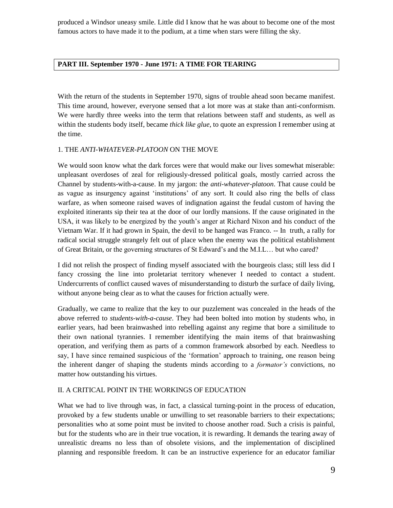produced a Windsor uneasy smile. Little did I know that he was about to become one of the most famous actors to have made it to the podium, at a time when stars were filling the sky.

### **PART III. September 1970 - June 1971: A TIME FOR TEARING**

With the return of the students in September 1970, signs of trouble ahead soon became manifest. This time around, however, everyone sensed that a lot more was at stake than anti-conformism. We were hardly three weeks into the term that relations between staff and students, as well as within the students body itself, became *thick like glue*, to quote an expression I remember using at the time.

#### 1. THE *ANTI-WHATEVER-PLATOON* ON THE MOVE

We would soon know what the dark forces were that would make our lives somewhat miserable: unpleasant overdoses of zeal for religiously-dressed political goals, mostly carried across the Channel by students-with-a-cause. In my jargon: the *anti-whatever-platoon*. That cause could be as vague as insurgency against 'institutions' of any sort. It could also ring the bells of class warfare, as when someone raised waves of indignation against the feudal custom of having the exploited itinerants sip their tea at the door of our lordly mansions. If the cause originated in the USA, it was likely to be energized by the youth's anger at Richard Nixon and his conduct of the Vietnam War. If it had grown in Spain, the devil to be hanged was Franco. -- In truth, a rally for radical social struggle strangely felt out of place when the enemy was the political establishment of Great Britain, or the governing structures of St Edward's and the M.I.L… but who cared?

I did not relish the prospect of finding myself associated with the bourgeois class; still less did I fancy crossing the line into proletariat territory whenever I needed to contact a student. Undercurrents of conflict caused waves of misunderstanding to disturb the surface of daily living, without anyone being clear as to what the causes for friction actually were.

Gradually, we came to realize that the key to our puzzlement was concealed in the heads of the above referred to *students-with-a-cause*. They had been bolted into motion by students who, in earlier years, had been brainwashed into rebelling against any regime that bore a similitude to their own national tyrannies. I remember identifying the main items of that brainwashing operation, and verifying them as parts of a common framework absorbed by each. Needless to say, I have since remained suspicious of the 'formation' approach to training, one reason being the inherent danger of shaping the students minds according to a *formator's* convictions, no matter how outstanding his virtues.

#### II. A CRITICAL POINT IN THE WORKINGS OF EDUCATION

What we had to live through was, in fact, a classical turning-point in the process of education, provoked by a few students unable or unwilling to set reasonable barriers to their expectations; personalities who at some point must be invited to choose another road. Such a crisis is painful, but for the students who are in their true vocation, it is rewarding. It demands the tearing away of unrealistic dreams no less than of obsolete visions, and the implementation of disciplined planning and responsible freedom. It can be an instructive experience for an educator familiar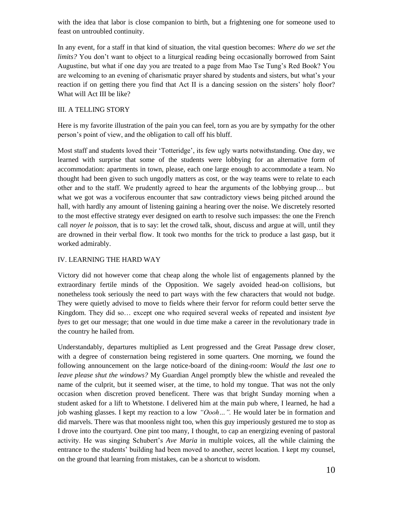with the idea that labor is close companion to birth, but a frightening one for someone used to feast on untroubled continuity.

In any event, for a staff in that kind of situation, the vital question becomes: *Where do we set the limits?* You don't want to object to a liturgical reading being occasionally borrowed from Saint Augustine, but what if one day you are treated to a page from Mao Tse Tung's Red Book? You are welcoming to an evening of charismatic prayer shared by students and sisters, but what's your reaction if on getting there you find that Act II is a dancing session on the sisters' holy floor? What will Act III be like?

### III. A TELLING STORY

Here is my favorite illustration of the pain you can feel, torn as you are by sympathy for the other person's point of view, and the obligation to call off his bluff.

Most staff and students loved their 'Totteridge', its few ugly warts notwithstanding. One day, we learned with surprise that some of the students were lobbying for an alternative form of accommodation: apartments in town, please, each one large enough to accommodate a team. No thought had been given to such ungodly matters as cost, or the way teams were to relate to each other and to the staff. We prudently agreed to hear the arguments of the lobbying group… but what we got was a vociferous encounter that saw contradictory views being pitched around the hall, with hardly any amount of listening gaining a hearing over the noise. We discretely resorted to the most effective strategy ever designed on earth to resolve such impasses: the one the French call *noyer le poisson,* that is to say: let the crowd talk, shout, discuss and argue at will, until they are drowned in their verbal flow. It took two months for the trick to produce a last gasp, but it worked admirably.

### IV. LEARNING THE HARD WAY

Victory did not however come that cheap along the whole list of engagements planned by the extraordinary fertile minds of the Opposition. We sagely avoided head-on collisions, but nonetheless took seriously the need to part ways with the few characters that would not budge. They were quietly advised to move to fields where their fervor for reform could better serve the Kingdom. They did so… except one who required several weeks of repeated and insistent *bye byes* to get our message; that one would in due time make a career in the revolutionary trade in the country he hailed from.

Understandably, departures multiplied as Lent progressed and the Great Passage drew closer, with a degree of consternation being registered in some quarters. One morning, we found the following announcement on the large notice-board of the dining-room: *Would the last one to leave please shut the windows?* My Guardian Angel promptly blew the whistle and revealed the name of the culprit, but it seemed wiser, at the time, to hold my tongue. That was not the only occasion when discretion proved beneficent. There was that bright Sunday morning when a student asked for a lift to Whetstone. I delivered him at the main pub where, I learned, he had a job washing glasses. I kept my reaction to a low *"Oooh…".* He would later be in formation and did marvels. There was that moonless night too, when this guy imperiously gestured me to stop as I drove into the courtyard. One pint too many, I thought, to cap an energizing evening of pastoral activity. He was singing Schubert's *Ave Maria* in multiple voices, all the while claiming the entrance to the students' building had been moved to another, secret location. I kept my counsel, on the ground that learning from mistakes, can be a shortcut to wisdom.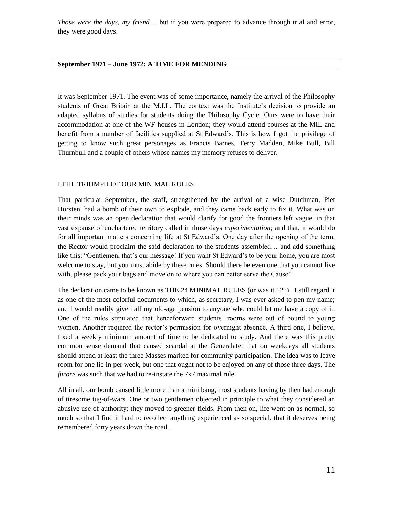*Those were the days, my friend*… but if you were prepared to advance through trial and error, they were good days.

### **September 1971 – June 1972: A TIME FOR MENDING**

It was September 1971. The event was of some importance, namely the arrival of the Philosophy students of Great Britain at the M.I.L. The context was the Institute's decision to provide an adapted syllabus of studies for students doing the Philosophy Cycle. Ours were to have their accommodation at one of the WF houses in London; they would attend courses at the MIL and benefit from a number of facilities supplied at St Edward's. This is how I got the privilege of getting to know such great personages as Francis Barnes, Terry Madden, Mike Bull, Bill Thurnbull and a couple of others whose names my memory refuses to deliver.

#### I.THE TRIUMPH OF OUR MINIMAL RULES

That particular September, the staff, strengthened by the arrival of a wise Dutchman, Piet Horsten, had a bomb of their own to explode, and they came back early to fix it. What was on their minds was an open declaration that would clarify for good the frontiers left vague, in that vast expanse of unchartered territory called in those days *experimentation;* and that, it would do for all important matters concerning life at St Edward's. One day after the opening of the term, the Rector would proclaim the said declaration to the students assembled… and add something like this: "Gentlemen, that's our message! If you want St Edward's to be your home, you are most welcome to stay, but you must abide by these rules. Should there be even one that you cannot live with, please pack your bags and move on to where you can better serve the Cause".

The declaration came to be known as THE 24 MINIMAL RULES (or was it 12?). I still regard it as one of the most colorful documents to which, as secretary, I was ever asked to pen my name; and I would readily give half my old-age pension to anyone who could let me have a copy of it. One of the rules stipulated that henceforward students' rooms were out of bound to young women. Another required the rector's permission for overnight absence. A third one, I believe, fixed a weekly minimum amount of time to be dedicated to study. And there was this pretty common sense demand that caused scandal at the Generalate: that on weekdays all students should attend at least the three Masses marked for community participation. The idea was to leave room for one lie-in per week, but one that ought not to be enjoyed on any of those three days. The *furore* was such that we had to re-instate the 7x7 maximal rule.

All in all, our bomb caused little more than a mini bang, most students having by then had enough of tiresome tug-of-wars. One or two gentlemen objected in principle to what they considered an abusive use of authority; they moved to greener fields. From then on, life went on as normal, so much so that I find it hard to recollect anything experienced as so special, that it deserves being remembered forty years down the road.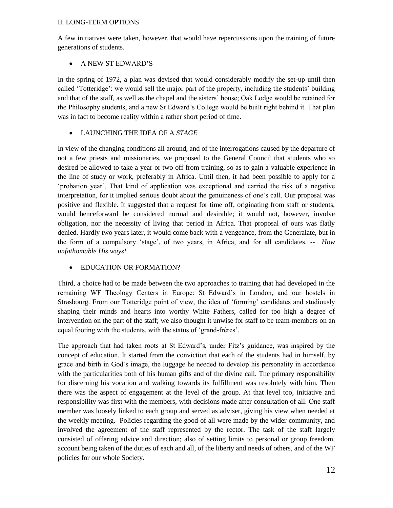#### II. LONG-TERM OPTIONS

A few initiatives were taken, however, that would have repercussions upon the training of future generations of students.

# A NEW ST EDWARD'S

In the spring of 1972, a plan was devised that would considerably modify the set-up until then called 'Totteridge': we would sell the major part of the property, including the students' building and that of the staff, as well as the chapel and the sisters' house; Oak Lodge would be retained for the Philosophy students, and a new St Edward's College would be built right behind it. That plan was in fact to become reality within a rather short period of time.

# LAUNCHING THE IDEA OF A *STAGE*

In view of the changing conditions all around, and of the interrogations caused by the departure of not a few priests and missionaries, we proposed to the General Council that students who so desired be allowed to take a year or two off from training, so as to gain a valuable experience in the line of study or work, preferably in Africa. Until then, it had been possible to apply for a 'probation year'. That kind of application was exceptional and carried the risk of a negative interpretation, for it implied serious doubt about the genuineness of one's call. Our proposal was positive and flexible. It suggested that a request for time off, originating from staff or students, would henceforward be considered normal and desirable; it would not, however, involve obligation, nor the necessity of living that period in Africa. That proposal of ours was flatly denied. Hardly two years later, it would come back with a vengeance, from the Generalate, but in the form of a compulsory 'stage', of two years, in Africa, and for all candidates. -- *How unfathomable His ways!*

# EDUCATION OR FORMATION?

Third, a choice had to be made between the two approaches to training that had developed in the remaining WF Theology Centers in Europe: St Edward's in London, and our hostels in Strasbourg. From our Totteridge point of view, the idea of 'forming' candidates and studiously shaping their minds and hearts into worthy White Fathers, called for too high a degree of intervention on the part of the staff; we also thought it unwise for staff to be team-members on an equal footing with the students, with the status of 'grand-frères'.

The approach that had taken roots at St Edward's, under Fitz's guidance, was inspired by the concept of education. It started from the conviction that each of the students had in himself, by grace and birth in God's image, the luggage he needed to develop his personality in accordance with the particularities both of his human gifts and of the divine call. The primary responsibility for discerning his vocation and walking towards its fulfillment was resolutely with him. Then there was the aspect of engagement at the level of the group. At that level too, initiative and responsibility was first with the members, with decisions made after consultation of all. One staff member was loosely linked to each group and served as adviser, giving his view when needed at the weekly meeting. Policies regarding the good of all were made by the wider community, and involved the agreement of the staff represented by the rector. The task of the staff largely consisted of offering advice and direction; also of setting limits to personal or group freedom, account being taken of the duties of each and all, of the liberty and needs of others, and of the WF policies for our whole Society.